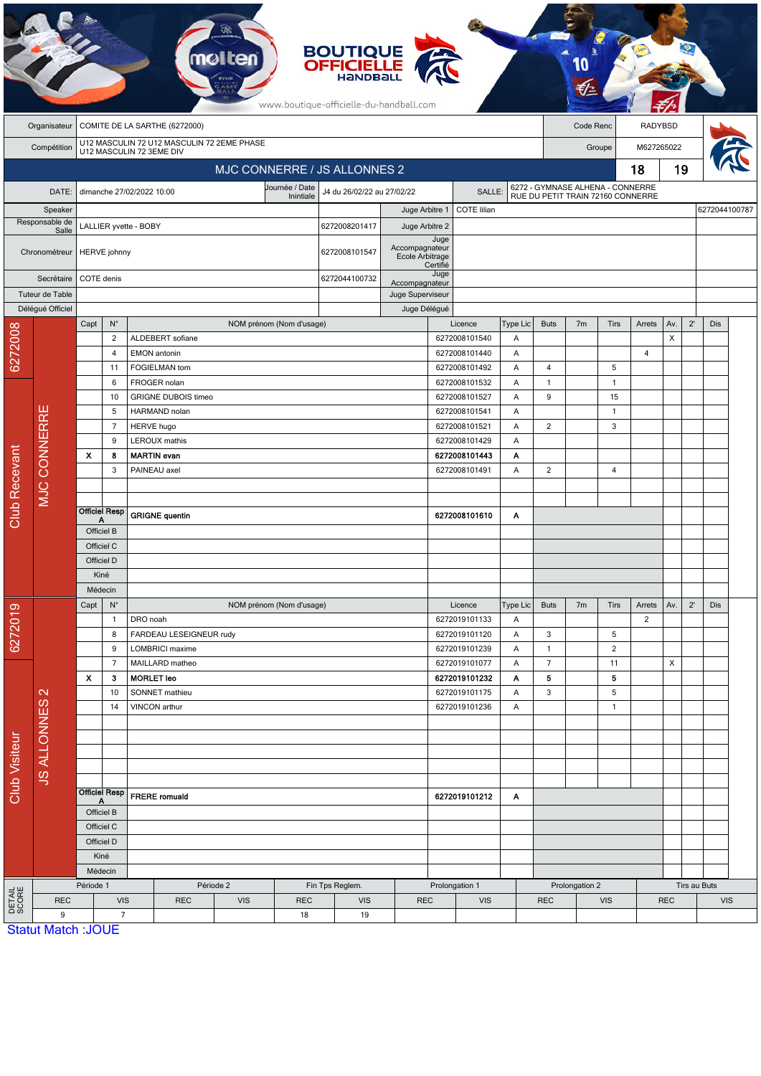|                        |                                      |                                                                        |                                     |                                         |                          |                          | <b>BOUTIQUE</b><br><b>OFFICIELLE</b><br>HaNDBal<br>www.boutique-officielle-du-handball.com |                                   |                                |            |                   |                                                                       |                |                |                |                                          |              |               |  |
|------------------------|--------------------------------------|------------------------------------------------------------------------|-------------------------------------|-----------------------------------------|--------------------------|--------------------------|--------------------------------------------------------------------------------------------|-----------------------------------|--------------------------------|------------|-------------------|-----------------------------------------------------------------------|----------------|----------------|----------------|------------------------------------------|--------------|---------------|--|
|                        | Organisateur                         | COMITE DE LA SARTHE (6272000)                                          |                                     |                                         |                          |                          |                                                                                            |                                   |                                |            |                   | Code Renc                                                             |                |                | RADYBSD        |                                          |              |               |  |
|                        | Compétition                          | U12 MASCULIN 72 U12 MASCULIN 72 2EME PHASE<br>U12 MASCULIN 72 3EME DIV |                                     |                                         |                          |                          |                                                                                            |                                   |                                | Groupe     |                   |                                                                       | M627265022     |                |                |                                          |              |               |  |
|                        |                                      |                                                                        |                                     |                                         |                          |                          | MJC CONNERRE / JS ALLONNES 2                                                               |                                   |                                |            |                   |                                                                       |                |                | 18             | 19                                       |              |               |  |
|                        | DATE:                                | Journée / Date<br>dimanche 27/02/2022 10:00                            |                                     |                                         |                          |                          | J4 du 26/02/22 au 27/02/22<br>SALLE:                                                       |                                   |                                |            |                   | 6272 - GYMNASE ALHENA - CONNERRE<br>RUE DU PETIT TRAIN 72160 CONNERRE |                |                |                |                                          |              |               |  |
| Speaker                |                                      | Inintiale                                                              |                                     |                                         |                          |                          | COTE lilian<br>Juge Arbitre 1                                                              |                                   |                                |            |                   |                                                                       |                |                |                |                                          |              |               |  |
| Responsable de         |                                      | LALLIER yvette - BOBY                                                  |                                     |                                         |                          |                          | 6272008201417                                                                              | Juge Arbitre 2                    |                                |            |                   |                                                                       |                |                |                |                                          |              | 6272044100787 |  |
| Salle<br>Chronométreur |                                      | <b>HERVE</b> johnny                                                    |                                     |                                         |                          |                          | 6272008101547                                                                              | Accompagnateur<br>Ecole Arbitrage | Juge<br>Certifié               |            |                   |                                                                       |                |                |                |                                          |              |               |  |
| Secrétaire             |                                      |                                                                        | COTE denis                          |                                         |                          |                          |                                                                                            |                                   | Juge<br>Accompagnateur         |            |                   |                                                                       |                |                |                |                                          |              |               |  |
| Tuteur de Table        |                                      |                                                                        |                                     |                                         |                          |                          |                                                                                            | Juge Superviseur                  |                                |            |                   |                                                                       |                |                |                |                                          |              |               |  |
|                        | Délégué Officiel                     |                                                                        |                                     |                                         |                          |                          | Juge Délégué                                                                               |                                   |                                |            |                   |                                                                       |                |                |                |                                          |              |               |  |
|                        |                                      | Capt                                                                   | $N^{\circ}$                         |                                         |                          | NOM prénom (Nom d'usage) |                                                                                            |                                   | Licence                        |            | Type Lic          | <b>Buts</b>                                                           | 7 <sub>m</sub> | Tirs           | Arrets         | Av.                                      | $2^{\prime}$ | Dis           |  |
| 6272008                |                                      |                                                                        | $\overline{2}$<br>$\overline{4}$    | ALDEBERT sofiane<br><b>EMON</b> antonin |                          |                          |                                                                                            |                                   | 6272008101540<br>6272008101440 |            | Α<br>Α            |                                                                       |                |                | $\overline{4}$ | $\pmb{\times}$                           |              |               |  |
|                        |                                      |                                                                        | 11                                  | FOGIELMAN tom                           |                          |                          |                                                                                            |                                   | 6272008101492                  |            | Α                 | 4                                                                     |                | 5              |                |                                          |              |               |  |
|                        |                                      | 6                                                                      |                                     | FROGER nolan                            |                          |                          |                                                                                            |                                   | 6272008101532                  |            | Α<br>$\mathbf{1}$ |                                                                       | $\overline{1}$ |                |                |                                          |              |               |  |
|                        |                                      |                                                                        | 10                                  | <b>GRIGNE DUBOIS timeo</b>              |                          |                          |                                                                                            |                                   | 6272008101527                  |            | Α                 | 9                                                                     |                | 15             |                |                                          |              |               |  |
|                        |                                      | 5                                                                      |                                     | HARMAND nolan                           |                          |                          |                                                                                            |                                   | 6272008101541                  |            | Α                 |                                                                       |                | $\overline{1}$ |                |                                          |              |               |  |
|                        |                                      |                                                                        | $\overline{7}$<br><b>HERVE hugo</b> |                                         |                          |                          |                                                                                            | 6272008101521                     |                                | Α          | $\overline{2}$    |                                                                       | 3              |                |                |                                          |              |               |  |
|                        | <b>MJC CONNERRE</b>                  | 9                                                                      |                                     | <b>LEROUX</b> mathis                    |                          |                          |                                                                                            |                                   | 6272008101429                  |            | Α                 |                                                                       |                |                |                |                                          |              |               |  |
|                        |                                      | $\boldsymbol{\mathsf{x}}$<br>8<br>3                                    |                                     | <b>MARTIN</b> evan<br>PAINEAU axel      |                          |                          |                                                                                            |                                   | 6272008101443<br>6272008101491 |            | Α<br>Α            | $\overline{2}$                                                        |                | 4              |                |                                          |              |               |  |
|                        |                                      |                                                                        |                                     |                                         |                          |                          |                                                                                            |                                   |                                |            |                   |                                                                       |                |                |                |                                          |              |               |  |
|                        |                                      |                                                                        |                                     |                                         |                          |                          |                                                                                            |                                   |                                |            |                   |                                                                       |                |                |                |                                          |              |               |  |
| <b>Club Recevant</b>   |                                      | Α                                                                      | <b>Officiel Resp</b>                | <b>GRIGNE</b> quentin                   |                          |                          |                                                                                            | 6272008101610                     |                                | Α          |                   |                                                                       |                |                |                |                                          |              |               |  |
|                        |                                      | Officiel B                                                             |                                     |                                         |                          |                          |                                                                                            |                                   |                                |            |                   |                                                                       |                |                |                |                                          |              |               |  |
|                        |                                      | Officiel C                                                             |                                     |                                         |                          |                          |                                                                                            |                                   |                                |            |                   |                                                                       |                |                |                |                                          |              |               |  |
|                        |                                      | Officiel D                                                             |                                     |                                         |                          |                          |                                                                                            |                                   |                                |            |                   |                                                                       |                |                |                |                                          |              |               |  |
|                        |                                      | Kiné<br>Médecin                                                        |                                     |                                         |                          |                          |                                                                                            |                                   |                                |            |                   |                                                                       |                |                |                |                                          |              |               |  |
|                        |                                      | $\mathsf{N}^\circ$<br>Capt                                             |                                     |                                         | NOM prénom (Nom d'usage) |                          |                                                                                            | Licence                           |                                | Type Lic   | <b>Buts</b>       | 7 <sub>m</sub><br><b>Tirs</b>                                         |                | Arrets         | Av.            | $2^{\prime}$                             | Dis          |               |  |
| 6272019                |                                      |                                                                        | $\mathbf{1}$                        | DRO noah                                |                          |                          |                                                                                            |                                   | 6272019101133                  |            | Α                 |                                                                       |                |                | 2              |                                          |              |               |  |
|                        |                                      |                                                                        | 8                                   | FARDEAU LESEIGNEUR rudy                 |                          |                          |                                                                                            |                                   | 6272019101120                  |            | Α                 | 3                                                                     |                | 5              |                |                                          |              |               |  |
|                        |                                      |                                                                        | 9                                   | <b>LOMBRICI</b> maxime                  |                          |                          |                                                                                            |                                   | 6272019101239                  |            | Α                 | $\mathbf{1}$                                                          |                | $\overline{2}$ |                |                                          |              |               |  |
|                        | $\mathbf{\Omega}$                    |                                                                        | $\overline{7}$                      | MAILLARD matheo                         |                          |                          |                                                                                            | 6272019101077                     |                                | A          | $\overline{7}$    |                                                                       | 11             |                | X              |                                          |              |               |  |
|                        |                                      | $\boldsymbol{\mathsf{x}}$                                              | 3<br>10                             | <b>MORLET leo</b><br>SONNET mathieu     |                          |                          |                                                                                            |                                   | 6272019101232<br>6272019101175 |            | A<br>Α            | 5<br>3                                                                |                | 5<br>5         |                |                                          |              |               |  |
|                        |                                      | 14                                                                     |                                     | VINCON arthur                           |                          |                          |                                                                                            |                                   | 6272019101236                  |            | A                 |                                                                       |                | $\mathbf{1}$   |                |                                          |              |               |  |
|                        |                                      |                                                                        |                                     |                                         |                          |                          |                                                                                            |                                   |                                |            |                   |                                                                       |                |                |                |                                          |              |               |  |
|                        |                                      |                                                                        |                                     |                                         |                          |                          |                                                                                            |                                   |                                |            |                   |                                                                       |                |                |                |                                          |              |               |  |
|                        |                                      |                                                                        |                                     |                                         |                          |                          |                                                                                            |                                   |                                |            |                   |                                                                       |                |                |                |                                          |              |               |  |
|                        | <b>JS ALLONNES</b>                   |                                                                        |                                     |                                         |                          |                          |                                                                                            |                                   |                                |            |                   |                                                                       |                |                |                |                                          |              |               |  |
| Club Visiteur          |                                      | <b>Officiel Resp</b><br><b>FRERE</b> romuald                           |                                     |                                         | 6272019101212            |                          |                                                                                            | A                                 |                                |            |                   |                                                                       |                |                |                |                                          |              |               |  |
|                        |                                      | A<br>Officiel B                                                        |                                     |                                         |                          |                          |                                                                                            |                                   |                                |            |                   |                                                                       |                |                |                |                                          |              |               |  |
|                        |                                      |                                                                        | Officiel C                          |                                         |                          |                          |                                                                                            |                                   |                                |            |                   |                                                                       |                |                |                |                                          |              |               |  |
|                        |                                      |                                                                        | Officiel D                          |                                         |                          |                          |                                                                                            |                                   |                                |            |                   |                                                                       |                |                |                |                                          |              |               |  |
|                        |                                      |                                                                        | Kiné                                |                                         |                          |                          |                                                                                            |                                   |                                |            |                   |                                                                       |                |                |                |                                          |              |               |  |
|                        |                                      | Médecin<br>Période 1                                                   |                                     |                                         |                          |                          |                                                                                            |                                   |                                |            |                   |                                                                       |                |                |                |                                          |              |               |  |
|                        | <b>DETAIL</b><br>SCORE<br><b>REC</b> |                                                                        | <b>VIS</b>                          | <b>REC</b>                              | Période 2<br><b>VIS</b>  | <b>REC</b>               | Fin Tps Reglem.<br><b>VIS</b>                                                              |                                   | Prolongation 1                 | <b>VIS</b> |                   | Prolongation 2<br><b>REC</b><br><b>VIS</b>                            |                |                |                | Tirs au Buts<br><b>REC</b><br><b>VIS</b> |              |               |  |
|                        | 9                                    |                                                                        | $\overline{7}$                      |                                         |                          | 18                       | 19                                                                                         | <b>REC</b>                        |                                |            |                   |                                                                       |                |                |                |                                          |              |               |  |
|                        | <b>Statut Match: JOUE</b>            |                                                                        |                                     |                                         |                          |                          |                                                                                            |                                   |                                |            |                   |                                                                       |                |                |                |                                          |              |               |  |